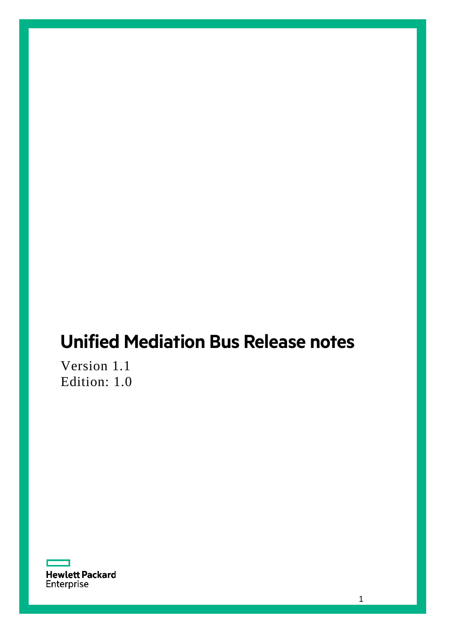# **Unified Mediation Bus Release notes**

Version 1.1 Edition: 1.0

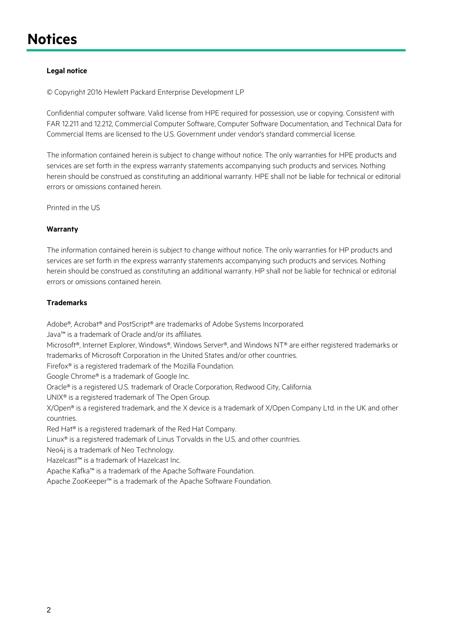## <span id="page-1-0"></span>**Notices**

#### **Legal notice**

© Copyright 2016 Hewlett Packard Enterprise Development LP

Confidential computer software. Valid license from HPE required for possession, use or copying. Consistent with FAR 12.211 and 12.212, Commercial Computer Software, Computer Software Documentation, and Technical Data for Commercial Items are licensed to the U.S. Government under vendor's standard commercial license.

The information contained herein is subject to change without notice. The only warranties for HPE products and services are set forth in the express warranty statements accompanying such products and services. Nothing herein should be construed as constituting an additional warranty. HPE shall not be liable for technical or editorial errors or omissions contained herein.

Printed in the US

#### **Warranty**

The information contained herein is subject to change without notice. The only warranties for HP products and services are set forth in the express warranty statements accompanying such products and services. Nothing herein should be construed as constituting an additional warranty. HP shall not be liable for technical or editorial errors or omissions contained herein.

#### **Trademarks**

Adobe®, Acrobat® and PostScript® are trademarks of Adobe Systems Incorporated.

Java™ is a trademark of Oracle and/or its affiliates.

Microsoft®, Internet Explorer, Windows®, Windows Server®, and Windows NT® are either registered trademarks or trademarks of Microsoft Corporation in the United States and/or other countries.

Firefox® is a registered trademark of the Mozilla Foundation.

Google Chrome® is a trademark of Google Inc.

Oracle® is a registered U.S. trademark of Oracle Corporation, Redwood City, California.

UNIX® is a registered trademark of The Open Group.

X/Open® is a registered trademark, and the X device is a trademark of X/Open Company Ltd. in the UK and other countries.

Red Hat® is a registered trademark of the Red Hat Company.

Linux® is a registered trademark of Linus Torvalds in the U.S. and other countries.

Neo4j is a trademark of Neo Technology.

Hazelcast™ is a trademark of Hazelcast Inc.

Apache Kafka™ is a trademark of the Apache Software Foundation.

Apache ZooKeeper™ is a trademark of the Apache Software Foundation.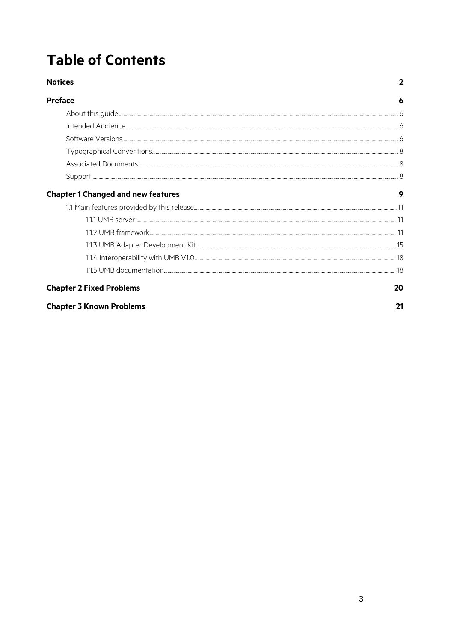# **Table of Contents**

| <b>Notices</b>                            | 2  |
|-------------------------------------------|----|
| <b>Preface</b>                            | 6  |
|                                           |    |
|                                           |    |
|                                           |    |
|                                           |    |
|                                           |    |
|                                           |    |
| <b>Chapter 1 Changed and new features</b> | 9  |
|                                           |    |
|                                           |    |
|                                           |    |
|                                           |    |
|                                           |    |
|                                           |    |
| <b>Chapter 2 Fixed Problems</b>           | 20 |
| <b>Chapter 3 Known Problems</b>           | 21 |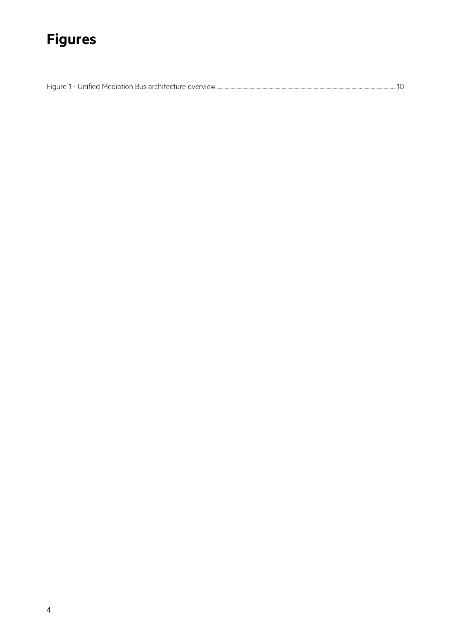# **Figures**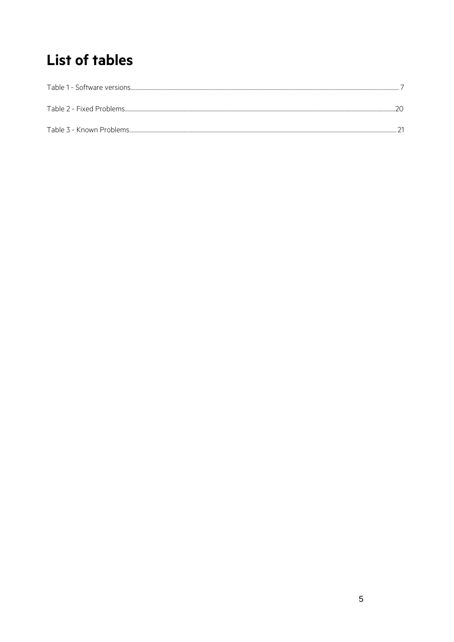## **List of tables**

| Table 2 - Fixed Problems |  |
|--------------------------|--|
| Table 3 - Known Problems |  |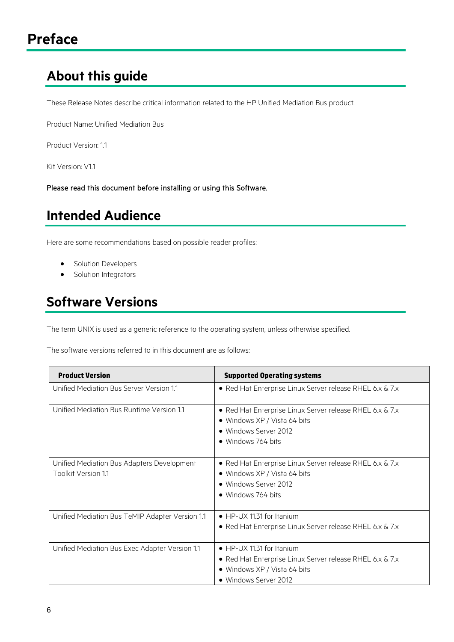## <span id="page-5-1"></span><span id="page-5-0"></span>**About this guide**

These Release Notes describe critical information related to the HP Unified Mediation Bus product.

Product Name: Unified Mediation Bus

Product Version: 1.1

Kit Version: V1.1

Please read this document before installing or using this Software.

### <span id="page-5-2"></span>**Intended Audience**

Here are some recommendations based on possible reader profiles:

- Solution Developers
- Solution Integrators

## <span id="page-5-3"></span>**Software Versions**

The term UNIX is used as a generic reference to the operating system, unless otherwise specified.

The software versions referred to in this document are as follows:

| <b>Product Version</b>                                            | <b>Supported Operating systems</b>                                                                                                             |
|-------------------------------------------------------------------|------------------------------------------------------------------------------------------------------------------------------------------------|
| Unified Mediation Bus Server Version 1.1                          | • Red Hat Enterprise Linux Server release RHEL 6.x & 7.x                                                                                       |
| Unified Mediation Bus Runtime Version 1.1                         | • Red Hat Enterprise Linux Server release RHEL 6.x & 7.x<br>• Windows XP / Vista 64 bits<br>• Windows Server 2012<br>• Windows 764 bits        |
| Unified Mediation Bus Adapters Development<br>Toolkit Version 1.1 | • Red Hat Enterprise Linux Server release RHEL 6.x & 7.x<br>• Windows XP / Vista 64 bits<br>• Windows Server 2012<br>• Windows 764 bits        |
| Unified Mediation Bus TeMIP Adapter Version 1.1                   | • HP-UX 11.31 for Itanium<br>· Red Hat Enterprise Linux Server release RHEL 6.x & 7.x                                                          |
| Unified Mediation Bus Exec Adapter Version 1.1                    | • HP-UX 11.31 for Itanium<br>• Red Hat Enterprise Linux Server release RHEL 6.x & 7.x<br>• Windows XP / Vista 64 bits<br>• Windows Server 2012 |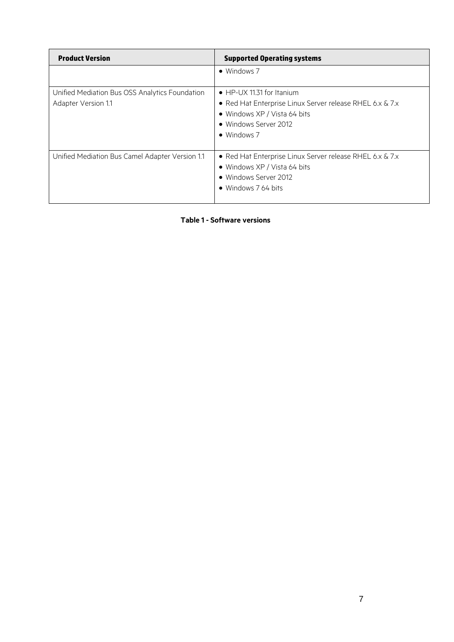| <b>Product Version</b>                                                | <b>Supported Operating systems</b>                                                                                                                                    |
|-----------------------------------------------------------------------|-----------------------------------------------------------------------------------------------------------------------------------------------------------------------|
|                                                                       | $\bullet$ Windows 7                                                                                                                                                   |
| Unified Mediation Bus OSS Analytics Foundation<br>Adapter Version 1.1 | • HP-UX 11.31 for Itanium<br>• Red Hat Enterprise Linux Server release RHEL 6.x & 7.x<br>• Windows XP / Vista 64 bits<br>· Windows Server 2012<br>$\bullet$ Windows 7 |
| Unified Mediation Bus Camel Adapter Version 1.1                       | • Red Hat Enterprise Linux Server release RHEL 6.x & 7.x<br>• Windows XP / Vista 64 bits<br>• Windows Server 2012<br>• Windows 7 64 bits                              |

<span id="page-6-0"></span>**Table 1 - Software versions**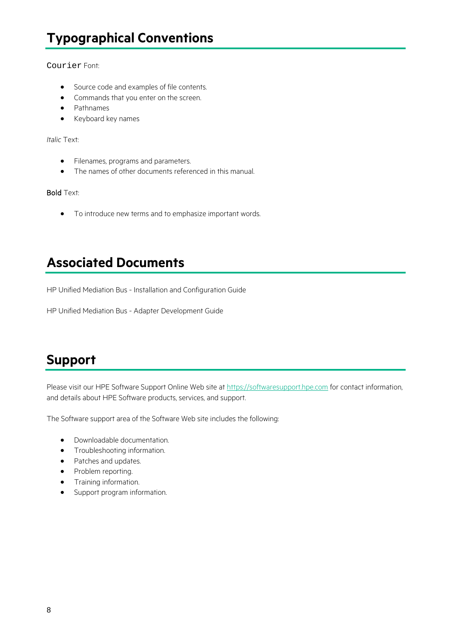## <span id="page-7-0"></span>**Typographical Conventions**

Courier Font:

- Source code and examples of file contents.
- Commands that you enter on the screen.
- Pathnames
- Keyboard key names

*Italic* Text:

- Filenames, programs and parameters.
- The names of other documents referenced in this manual.

#### Bold Text:

• To introduce new terms and to emphasize important words.

### <span id="page-7-1"></span>**Associated Documents**

HP Unified Mediation Bus - Installation and Configuration Guide

HP Unified Mediation Bus - Adapter Development Guide

## <span id="page-7-2"></span>**Support**

Please visit our HPE Software Support Online Web site at [https://softwaresupport.hpe.com](https://softwaresupport.hpe.com/) for contact information, and details about HPE Software products, services, and support.

The Software support area of the Software Web site includes the following:

- Downloadable documentation.
- Troubleshooting information.
- Patches and updates.
- Problem reporting.
- Training information.
- Support program information.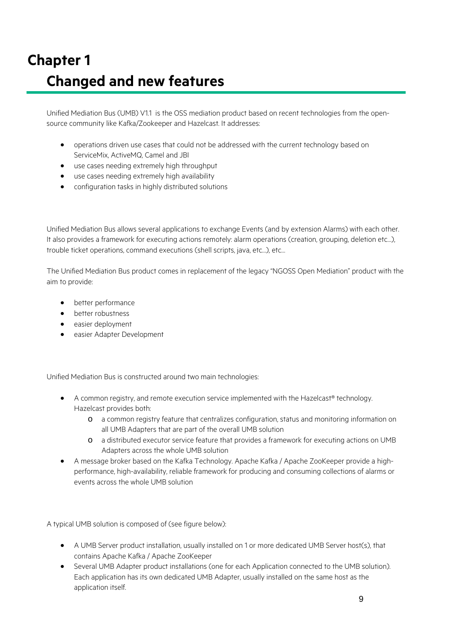# <span id="page-8-0"></span>**Chapter 1 Changed and new features**

Unified Mediation Bus (UMB) V1.1 is the OSS mediation product based on recent technologies from the opensource community like Kafka/Zookeeper and Hazelcast. It addresses:

- operations driven use cases that could not be addressed with the current technology based on ServiceMix, ActiveMQ, Camel and JBI
- use cases needing extremely high throughput
- use cases needing extremely high availability
- configuration tasks in highly distributed solutions

Unified Mediation Bus allows several applications to exchange Events (and by extension Alarms) with each other. It also provides a framework for executing actions remotely: alarm operations (creation, grouping, deletion etc…), trouble ticket operations, command executions (shell scripts, java, etc…), etc…

The Unified Mediation Bus product comes in replacement of the legacy "NGOSS Open Mediation" product with the aim to provide:

- better performance
- better robustness
- easier deployment
- easier Adapter Development

Unified Mediation Bus is constructed around two main technologies:

- A common registry, and remote execution service implemented with the Hazelcast® technology. Hazelcast provides both:
	- o a common registry feature that centralizes configuration, status and monitoring information on all UMB Adapters that are part of the overall UMB solution
	- o a distributed executor service feature that provides a framework for executing actions on UMB Adapters across the whole UMB solution
- A message broker based on the Kafka Technology. Apache Kafka / Apache ZooKeeper provide a highperformance, high-availability, reliable framework for producing and consuming collections of alarms or events across the whole UMB solution

A typical UMB solution is composed of (see figure below):

- A UMB Server product installation, usually installed on 1 or more dedicated UMB Server host(s), that contains Apache Kafka / Apache ZooKeeper
- Several UMB Adapter product installations (one for each Application connected to the UMB solution). Each application has its own dedicated UMB Adapter, usually installed on the same host as the application itself.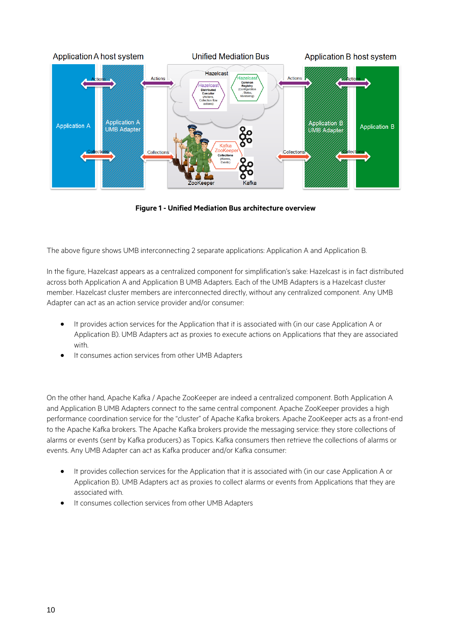

**Figure 1 - Unified Mediation Bus architecture overview**

<span id="page-9-0"></span>The above figure shows UMB interconnecting 2 separate applications: Application A and Application B.

In the figure, Hazelcast appears as a centralized component for simplification's sake: Hazelcast is in fact distributed across both Application A and Application B UMB Adapters. Each of the UMB Adapters is a Hazelcast cluster member. Hazelcast cluster members are interconnected directly, without any centralized component. Any UMB Adapter can act as an action service provider and/or consumer:

- It provides action services for the Application that it is associated with (in our case Application A or Application B). UMB Adapters act as proxies to execute actions on Applications that they are associated with.
- It consumes action services from other UMB Adapters

On the other hand, Apache Kafka / Apache ZooKeeper are indeed a centralized component. Both Application A and Application B UMB Adapters connect to the same central component. Apache ZooKeeper provides a high performance coordination service for the "cluster" of Apache Kafka brokers. Apache ZooKeeper acts as a front-end to the Apache Kafka brokers. The Apache Kafka brokers provide the messaging service: they store collections of alarms or events (sent by Kafka producers) as Topics. Kafka consumers then retrieve the collections of alarms or events. Any UMB Adapter can act as Kafka producer and/or Kafka consumer:

- It provides collection services for the Application that it is associated with (in our case Application A or Application B). UMB Adapters act as proxies to collect alarms or events from Applications that they are associated with.
- It consumes collection services from other UMB Adapters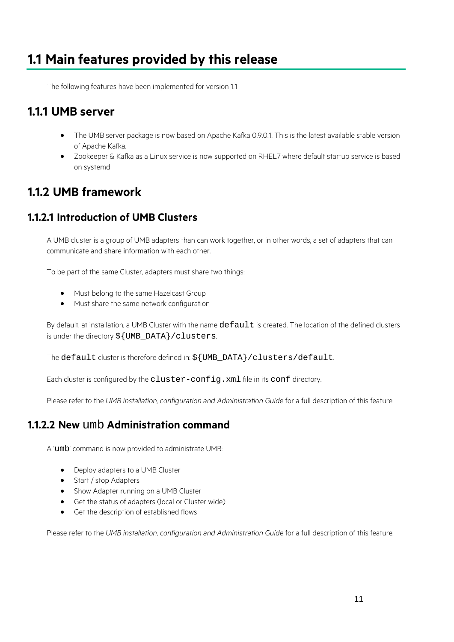### <span id="page-10-0"></span>**1.1 Main features provided by this release**

The following features have been implemented for version 1.1

#### <span id="page-10-1"></span>**1.1.1 UMB server**

- The UMB server package is now based on Apache Kafka 0.9.0.1. This is the latest available stable version of Apache Kafka.
- Zookeeper & Kafka as a Linux service is now supported on RHEL7 where default startup service is based on systemd

### <span id="page-10-2"></span>**1.1.2 UMB framework**

#### **1.1.2.1 Introduction of UMB Clusters**

A UMB cluster is a group of UMB adapters than can work together, or in other words, a set of adapters that can communicate and share information with each other.

To be part of the same Cluster, adapters must share two things:

- Must belong to the same Hazelcast Group
- Must share the same network configuration

By default, at installation, a UMB Cluster with the name default is created. The location of the defined clusters is under the directory \${UMB\_DATA}/clusters.

The default cluster is therefore defined in: \${UMB\_DATA}/clusters/default.

Each cluster is configured by the cluster-config. xml file in its conf directory.

Please refer to the *UMB installation, configuration and Administration Guide* for a full description of this feature.

#### **1.1.2.2 New** umb **Administration command**

A 'umb' command is now provided to administrate UMB:

- Deploy adapters to a UMB Cluster
- Start / stop Adapters
- Show Adapter running on a UMB Cluster
- Get the status of adapters (local or Cluster wide)
- Get the description of established flows

Please refer to the *UMB installation, configuration and Administration Guide* for a full description of this feature.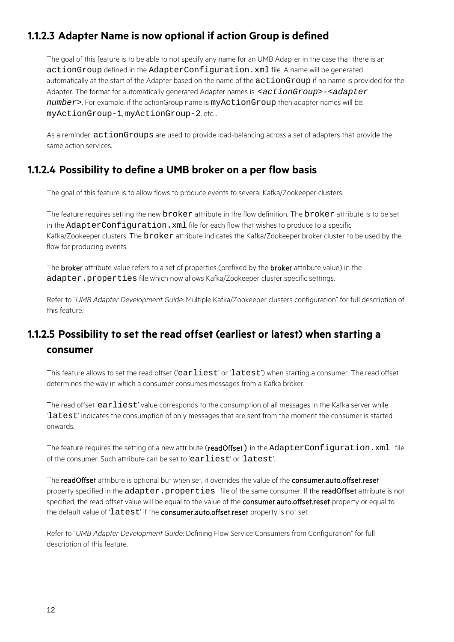#### **1.1.2.3 Adapter Name is now optional if action Group is defined**

The goal of this feature is to be able to not specify any name for an UMB Adapter in the case that there is an actionGroup defined in the AdapterConfiguration.xml file. A name will be generated automatically at the start of the Adapter based on the name of the actionGroup if no name is provided for the Adapter. The format for automatically generated Adapter names is: <*actionGroup*>-<*adapter number*>. For example, if the actionGroup name is myActionGroup then adapter names will be: myActionGroup-1, myActionGroup-2, etc…

As a reminder, actionGroups are used to provide load-balancing across a set of adapters that provide the same action services.

#### **1.1.2.4 Possibility to define a UMB broker on a per flow basis**

The goal of this feature is to allow flows to produce events to several Kafka/Zookeeper clusters.

The feature requires setting the new broker attribute in the flow definition. The broker attribute is to be set in the AdapterConfiguration. xml file for each flow that wishes to produce to a specific Kafka/Zookeeper clusters. The broker attribute indicates the Kafka/Zookeeper broker cluster to be used by the flow for producing events.

The **broker** attribute value refers to a set of properties (prefixed by the **broker** attribute value) in the adapter.properties file which now allows Kafka/Zookeeper cluster specific settings.

Refer to "*UMB Adapter Development Guide*: Multiple Kafka/Zookeeper clusters configuration" for full description of this feature.

### **1.1.2.5 Possibility to set the read offset (earliest or latest) when starting a consumer**

This feature allows to set the read offset ('earliest' or 'latest') when starting a consumer. The read offset determines the way in which a consumer consumes messages from a Kafka broker.

The read offset 'earliest' value corresponds to the consumption of all messages in the Kafka server while 'latest' indicates the consumption of only messages that are sent from the moment the consumer is started onwards.

The feature requires the setting of a new attribute (readOffset) in the AdapterConfiguration.xml file of the consumer. Such attribute can be set to 'earliest' or 'latest'.

The readOffset attribute is optional but when set, it overrides the value of the consumer.auto.offset.reset property specified in the adapter.properties file of the same consumer. If the readOffset attribute is not specified, the read offset value will be equal to the value of the consumer.auto.offset.reset property or equal to the default value of 'latest' if the consumer.auto.offset.reset property is not set.

Refer to "*UMB Adapter Development Guide*: Defining Flow Service Consumers from Configuration" for full description of this feature.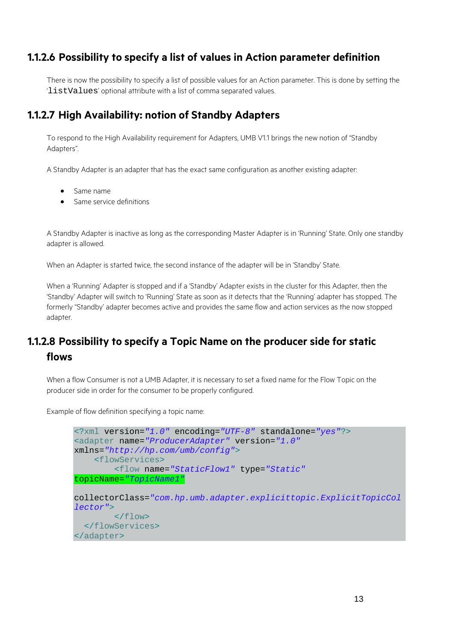#### **1.1.2.6 Possibility to specify a list of values in Action parameter definition**

There is now the possibility to specify a list of possible values for an Action parameter. This is done by setting the 'listValues' optional attribute with a list of comma separated values.

#### **1.1.2.7 High Availability: notion of Standby Adapters**

To respond to the High Availability requirement for Adapters, UMB V1.1 brings the new notion of "Standby Adapters".

A Standby Adapter is an adapter that has the exact same configuration as another existing adapter:

- Same name
- Same service definitions

A Standby Adapter is inactive as long as the corresponding Master Adapter is in 'Running' State. Only one standby adapter is allowed.

When an Adapter is started twice, the second instance of the adapter will be in 'Standby' State.

When a 'Running' Adapter is stopped and if a 'Standby' Adapter exists in the cluster for this Adapter, then the 'Standby' Adapter will switch to 'Running' State as soon as it detects that the 'Running' adapter has stopped. The formerly "Standby' adapter becomes active and provides the same flow and action services as the now stopped adapter.

#### **1.1.2.8 Possibility to specify a Topic Name on the producer side for static flows**

When a flow Consumer is not a UMB Adapter, it is necessary to set a fixed name for the Flow Topic on the producer side in order for the consumer to be properly configured.

Example of flow definition specifying a topic name:

```
<?xml version="1.0" encoding="UTF-8" standalone="yes"?>
<adapter name="ProducerAdapter" version="1.0"
xmlns="http://hp.com/umb/config">
     <flowServices>
         <flow name="StaticFlow1" type="Static"
topicName="TopicName1"
collectorClass="com.hp.umb.adapter.explicittopic.ExplicitTopicCol
lector">
         </flow> 
   </flowServices>
</adapter>
```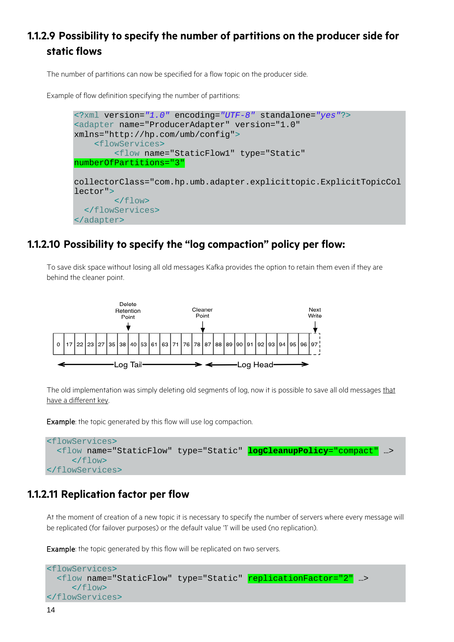### **1.1.2.9 Possibility to specify the number of partitions on the producer side for static flows**

The number of partitions can now be specified for a flow topic on the producer side.

Example of flow definition specifying the number of partitions:



#### **1.1.2.10 Possibility to specify the "log compaction" policy per flow:**

To save disk space without losing all old messages Kafka provides the option to retain them even if they are behind the cleaner point.



The old implementation was simply deleting old segments of log, now it is possible to save all old messages that have a different key.

Example: the topic generated by this flow will use log compaction.

```
<flowServices>
   <flow name="StaticFlow" type="Static" logCleanupPolicy="compact" …>
     \langle /flow>
</flowServices>
```
#### **1.1.2.11 Replication factor per flow**

At the moment of creation of a new topic it is necessary to specify the number of servers where every message will be replicated (for failover purposes) or the default value '1' will be used (no replication).

Example: the topic generated by this flow will be replicated on two servers.

```
<flowServices>
  <flow name="StaticFlow" type="Static" replicationFactor="2" ...>
     \langle flow>
</flowServices>
```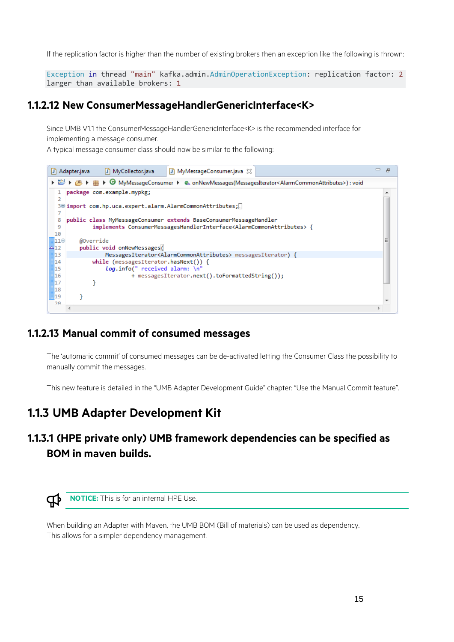If the replication factor is higher than the number of existing brokers then an exception like the following is thrown:

Exception in thread "main" kafka.admin.AdminOperationException: replication factor: 2 larger than available brokers: 1

#### **1.1.2.12 New ConsumerMessageHandlerGenericInterface<K>**

Since UMB V1.1 the ConsumerMessageHandlerGenericInterface<K> is the recommended interface for implementing a message consumer.

A typical message consumer class should now be similar to the following:



#### **1.1.2.13 Manual commit of consumed messages**

The 'automatic commit' of consumed messages can be de-activated letting the Consumer Class the possibility to manually commit the messages.

This new feature is detailed in the "UMB Adapter Development Guide" chapter: "Use the Manual Commit feature".

### <span id="page-14-0"></span>**1.1.3 UMB Adapter Development Kit**

#### **1.1.3.1 (HPE private only) UMB framework dependencies can be specified as BOM in maven builds.**



When building an Adapter with Maven, the UMB BOM (Bill of materials) can be used as dependency. This allows for a simpler dependency management.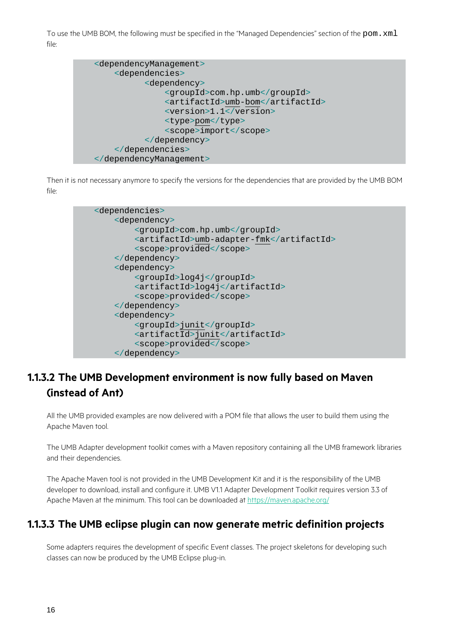To use the UMB BOM, the following must be specified in the "Managed Dependencies" section of the pom. xml file:



Then it is not necessary anymore to specify the versions for the dependencies that are provided by the UMB BOM file:



### **1.1.3.2 The UMB Development environment is now fully based on Maven (instead of Ant)**

All the UMB provided examples are now delivered with a POM file that allows the user to build them using the Apache Maven tool.

The UMB Adapter development toolkit comes with a Maven repository containing all the UMB framework libraries and their dependencies.

The Apache Maven tool is not provided in the UMB Development Kit and it is the responsibility of the UMB developer to download, install and configure it. UMB V1.1 Adapter Development Toolkit requires version 3.3 of Apache Maven at the minimum. This tool can be downloaded at<https://maven.apache.org/>

#### **1.1.3.3 The UMB eclipse plugin can now generate metric definition projects**

Some adapters requires the development of specific Event classes. The project skeletons for developing such classes can now be produced by the UMB Eclipse plug-in.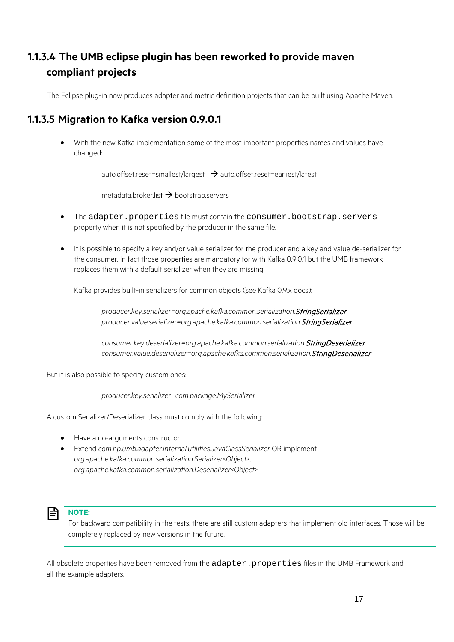### **1.1.3.4 The UMB eclipse plugin has been reworked to provide maven compliant projects**

The Eclipse plug-in now produces adapter and metric definition projects that can be built using Apache Maven.

#### <span id="page-16-0"></span>**1.1.3.5 Migration to Kafka version 0.9.0.1**

• With the new Kafka implementation some of the most important properties names and values have changed:

auto.offset.reset=smallest/largest  $\rightarrow$  auto.offset.reset=earliest/latest

metadata.broker.list  $\rightarrow$  bootstrap.servers

- The adapter.properties file must contain the consumer.bootstrap.servers property when it is not specified by the producer in the same file.
- It is possible to specify a key and/or value serializer for the producer and a key and value de-serializer for the consumer. In fact those properties are mandatory for with Kafka 0.9.0.1 but the UMB framework replaces them with a default serializer when they are missing.

Kafka provides built-in serializers for common objects (see Kafka 0.9.x docs):

*producer.key.serializer=org.apache.kafka.common.serialization.*StringSerializer *producer.value.serializer=org.apache.kafka.common.serialization.*StringSerializer

*consumer.key.deserializer=org.apache.kafka.common.serialization.*StringDeserializer *consumer.value.deserializer=org.apache.kafka.common.serialization.*StringDeserializer

But it is also possible to specify custom ones:

*producer.key.serializer=com.package.MySerializer*

A custom Serializer/Deserializer class must comply with the following:

- Have a no-arguments constructor
- Extend *com.hp.umb.adapter.internal.utilities.JavaClassSerializer* OR implement *org.apache.kafka.common.serialization.Serializer<Object>, org.apache.kafka.common.serialization.Deserializer<Object>*



#### **NOTE:**

For backward compatibility in the tests, there are still custom adapters that implement old interfaces. Those will be completely replaced by new versions in the future.

All obsolete properties have been removed from the adapter.properties files in the UMB Framework and all the example adapters.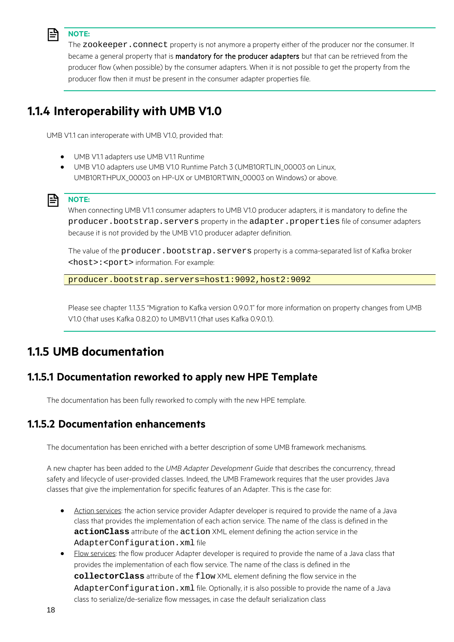

#### **NOTE:**

The zookeeper. connect property is not anymore a property either of the producer nor the consumer. It became a general property that is mandatory for the producer adapters but that can be retrieved from the producer flow (when possible) by the consumer adapters. When it is not possible to get the property from the producer flow then it must be present in the consumer adapter properties file.

### <span id="page-17-0"></span>**1.1.4 Interoperability with UMB V1.0**

UMB V1.1 can interoperate with UMB V1.0, provided that:

- UMB V1.1 adapters use UMB V1.1 Runtime
- UMB V1.0 adapters use UMB V1.0 Runtime Patch 3 (UMB10RTLIN\_00003 on Linux, UMB10RTHPUX\_00003 on HP-UX or UMB10RTWIN\_00003 on Windows) or above.

#### **NOTE:**

When connecting UMB V1.1 consumer adapters to UMB V1.0 producer adapters, it is mandatory to define the producer.bootstrap.servers property in the adapter.properties file of consumer adapters because it is not provided by the UMB V1.0 producer adapter definition.

The value of the producer.bootstrap.servers property is a comma-separated list of Kafka broker <host>:<port> information. For example:

producer.bootstrap.servers=host1:9092,host2:9092

Please see chapter [1.1.3.5](#page-16-0) ["Migration to Kafka version 0.9.0.1"](#page-16-0) for more information on property changes from UMB V1.0 (that uses Kafka 0.8.2.0) to UMBV1.1 (that uses Kafka 0.9.0.1).

### <span id="page-17-1"></span>**1.1.5 UMB documentation**

#### **1.1.5.1 Documentation reworked to apply new HPE Template**

The documentation has been fully reworked to comply with the new HPE template.

#### **1.1.5.2 Documentation enhancements**

The documentation has been enriched with a better description of some UMB framework mechanisms.

A new chapter has been added to the *UMB Adapter Development Guide* that describes the concurrency, thread safety and lifecycle of user-provided classes. Indeed, the UMB Framework requires that the user provides Java classes that give the implementation for specific features of an Adapter. This is the case for:

- Action services: the action service provider Adapter developer is required to provide the name of a Java class that provides the implementation of each action service. The name of the class is defined in the **actionClass** attribute of the action XML element defining the action service in the AdapterConfiguration.xml file
- Flow services: the flow producer Adapter developer is required to provide the name of a Java class that provides the implementation of each flow service. The name of the class is defined in the **collectorClass** attribute of the flow XML element defining the flow service in the AdapterConfiguration.xml file. Optionally, it is also possible to provide the name of a Java class to serialize/de-serialize flow messages, in case the default serialization class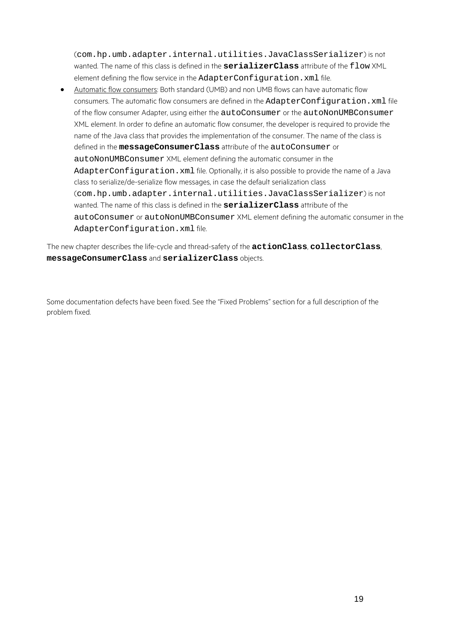(com.hp.umb.adapter.internal.utilities.JavaClassSerializer) is not wanted. The name of this class is defined in the **serializerClass** attribute of the flow XML element defining the flow service in the AdapterConfiguration.xml file.

• Automatic flow consumers: Both standard (UMB) and non UMB flows can have automatic flow consumers. The automatic flow consumers are defined in the AdapterConfiguration. xml file of the flow consumer Adapter, using either the autoConsumer or the autoNonUMBConsumer XML element. In order to define an automatic flow consumer, the developer is required to provide the name of the Java class that provides the implementation of the consumer. The name of the class is defined in the **messageConsumerClass** attribute of the autoConsumer or autoNonUMBConsumer XML element defining the automatic consumer in the AdapterConfiguration. xml file. Optionally, it is also possible to provide the name of a Java class to serialize/de-serialize flow messages, in case the default serialization class (com.hp.umb.adapter.internal.utilities.JavaClassSerializer) is not wanted. The name of this class is defined in the **serializerClass** attribute of the autoConsumer or autoNonUMBConsumer XML element defining the automatic consumer in the AdapterConfiguration.xml file.

The new chapter describes the life-cycle and thread-safety of the **actionClass**, **collectorClass**, **messageConsumerClass** and **serializerClass** objects.

Some documentation defects have been fixed. See the ["Fixed Problems"](#page-19-0) section for a full description of the problem fixed.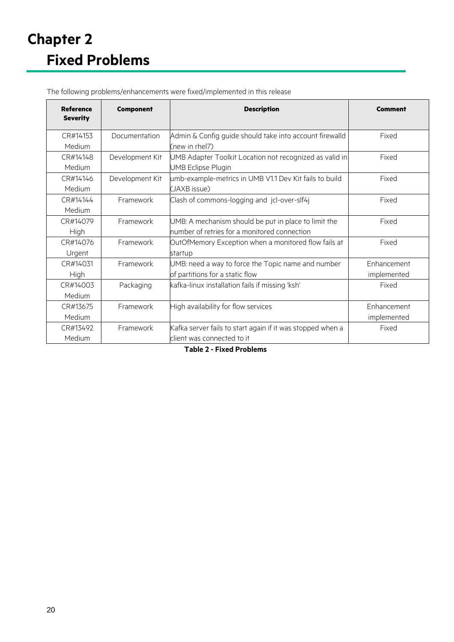| <b>Reference</b><br><b>Severity</b> | <b>Component</b> | <b>Description</b>                                         | Comment     |
|-------------------------------------|------------------|------------------------------------------------------------|-------------|
| CR#14153                            | Documentation    | Admin & Config guide should take into account firewalld    | Fixed       |
| Medium                              |                  | (new in rhel7)                                             |             |
| CR#14148                            | Development Kit  | UMB Adapter Toolkit Location not recognized as valid in    | Fixed       |
| Medium                              |                  | <b>UMB Eclipse Plugin</b>                                  |             |
| CR#14146                            | Development Kit  | umb-example-metrics in UMB V1.1 Dev Kit fails to build     | Fixed       |
| Medium                              |                  | (JAXB issue)                                               |             |
| CR#14144                            | Framework        | Clash of commons-logging and jcl-over-slf4j                | Fixed       |
| Medium                              |                  |                                                            |             |
| CR#14079                            | Framework        | UMB: A mechanism should be put in place to limit the       | Fixed       |
| High                                |                  | number of retries for a monitored connection               |             |
| CR#14076                            | Framework        | OutOfMemory Exception when a monitored flow fails at       | Fixed       |
| Urgent                              |                  | startup                                                    |             |
| CR#14031                            | Framework        | UMB: need a way to force the Topic name and number         | Enhancement |
| High                                |                  | of partitions for a static flow                            | implemented |
| CR#14003                            | Packaging        | kafka-linux installation fails if missing 'ksh'            | Fixed       |
| Medium                              |                  |                                                            |             |
| CR#13675                            | Framework        | High availability for flow services                        | Enhancement |
| Medium                              |                  |                                                            | implemented |
| CR#13492                            | Framework        | Kafka server fails to start again if it was stopped when a | Fixed       |
| Medium                              |                  | client was connected to it                                 |             |

<span id="page-19-0"></span>The following problems/enhancements were fixed/implemented in this release

<span id="page-19-1"></span>**Table 2 - Fixed Problems**